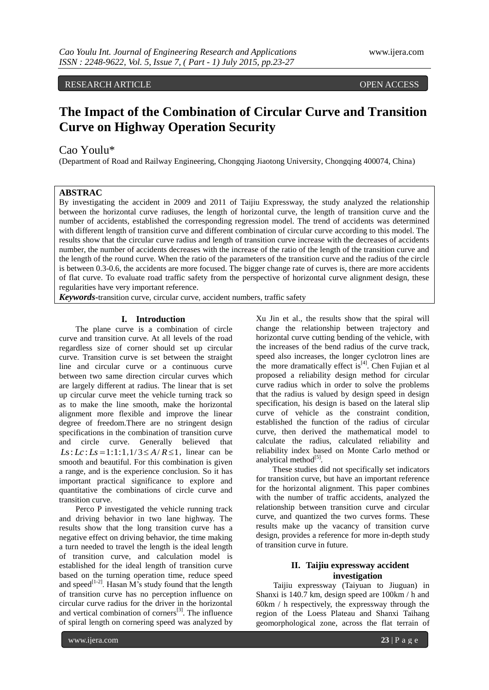RESEARCH ARTICLE OPEN ACCESS

# **The Impact of the Combination of Circular Curve and Transition Curve on Highway Operation Security**

# Cao Youlu\*

(Department of Road and Railway Engineering, Chongqing Jiaotong University, Chongqing 400074, China)

# **ABSTRAC**

By investigating the accident in 2009 and 2011 of Taijiu Expressway, the study analyzed the relationship between the horizontal curve radiuses, the length of horizontal curve, the length of transition curve and the number of accidents, established the corresponding regression model. The trend of accidents was determined with different length of transition curve and different combination of circular curve according to this model. The results show that the circular curve radius and length of transition curve increase with the decreases of accidents number, the number of accidents decreases with the increase of the ratio of the length of the transition curve and the length of the round curve. When the ratio of the parameters of the transition curve and the radius of the circle is between 0.3-0.6, the accidents are more focused. The bigger change rate of curves is, there are more accidents of flat curve. To evaluate road traffic safety from the perspective of horizontal curve alignment design, these regularities have very important reference.

*Keywords***-**transition curve, circular curve, accident numbers, traffic safety

#### **I. Introduction**

The plane curve is a combination of circle curve and transition curve. At all levels of the road regardless size of corner should set up circular curve. Transition curve is set between the straight line and circular curve or a continuous curve between two same direction circular curves which are largely different at radius. The linear that is set up circular curve meet the vehicle turning track so as to make the line smooth, make the horizontal alignment more flexible and improve the linear degree of freedom.There are no stringent design specifications in the combination of transition curve and circle curve. Generally believed that  $Ls: Lc: Ls = 1:1:1, 1/3 \le A/R \le 1$ , linear can be smooth and beautiful. For this combination is given a range, and is the experience conclusion. So it has important practical significance to explore and quantitative the combinations of circle curve and transition curve.

Perco P investigated the vehicle running track and driving behavior in two lane highway. The results show that the long transition curve has a negative effect on driving behavior, the time making a turn needed to travel the length is the ideal length of transition curve, and calculation model is established for the ideal length of transition curve based on the turning operation time, reduce speed and speed<sup>[1-2]</sup>. Hasan M's study found that the length of transition curve has no perception influence on circular curve radius for the driver in the horizontal and vertical combination of corners $[3]$ . The influence of spiral length on cornering speed was analyzed by

Xu Jin et al., the results show that the spiral will change the relationship between trajectory and horizontal curve cutting bending of the vehicle, with the increases of the bend radius of the curve track, speed also increases, the longer cyclotron lines are the more dramatically effect  $is^{[4]}$ . Chen Fujian et al proposed a reliability design method for circular curve radius which in order to solve the problems that the radius is valued by design speed in design specification, his design is based on the lateral slip curve of vehicle as the constraint condition, established the function of the radius of circular curve, then derived the mathematical model to calculate the radius, calculated reliability and reliability index based on Monte Carlo method or analytical method<sup>[5]</sup>.

These studies did not specifically set indicators for transition curve, but have an important reference for the horizontal alignment. This paper combines with the number of traffic accidents, analyzed the relationship between transition curve and circular curve, and quantized the two curves forms. These results make up the vacancy of transition curve design, provides a reference for more in-depth study of transition curve in future.

## **II. Taijiu expressway accident investigation**

Taijiu expressway (Taiyuan to Jiuguan) in Shanxi is 140.7 km, design speed are 100km / h and 60km / h respectively, the expressway through the region of the Loess Plateau and Shanxi Taihang geomorphological zone, across the flat terrain of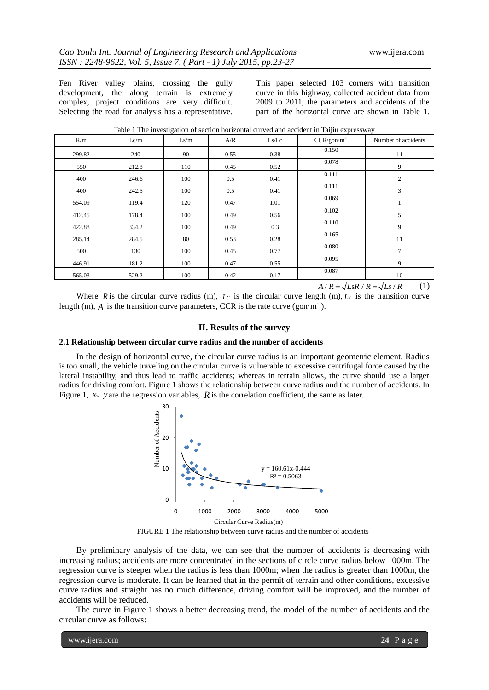Fen River valley plains, crossing the gully development, the along terrain is extremely complex, project conditions are very difficult. Selecting the road for analysis has a representative. This paper selected 103 corners with transition curve in this highway, collected accident data from 2009 to 2011, the parameters and accidents of the part of the horizontal curve are shown in Table 1.

| Lc/m  | Ls/m | A/R  | Ls/Lc | $CCR/gon·m^{-1}$ | Number of accidents |
|-------|------|------|-------|------------------|---------------------|
| 240   | 90   | 0.55 | 0.38  | 0.150            | 11                  |
| 212.8 | 110  | 0.45 | 0.52  | 0.078            | 9                   |
| 246.6 | 100  | 0.5  | 0.41  | 0.111            | 2                   |
| 242.5 | 100  | 0.5  | 0.41  | 0.111            | 3                   |
| 119.4 | 120  | 0.47 | 1.01  | 0.069            |                     |
| 178.4 | 100  | 0.49 | 0.56  | 0.102            | 5                   |
| 334.2 | 100  | 0.49 | 0.3   | 0.110            | 9                   |
| 284.5 | 80   | 0.53 | 0.28  | 0.165            | 11                  |
| 130   | 100  | 0.45 | 0.77  | 0.080            | 7                   |
| 181.2 | 100  | 0.47 | 0.55  | 0.095            | 9                   |
| 529.2 | 100  | 0.42 | 0.17  | 0.087            | 10                  |
|       |      |      |       |                  | 1 <del>. .</del>    |

Table 1 The investigation of section horizontal curved and accident in Taijiu expressway

 $A/R = \sqrt{LsR/R} = \sqrt{Ls/R}$  (1)

Where R is the circular curve radius (m),  $L_c$  is the circular curve length (m),  $L_s$  is the transition curve length (m),  $A$  is the transition curve parameters, CCR is the rate curve (gon·m<sup>-1</sup>).

#### **II. Results of the survey**

#### **2.1 Relationship between circular curve radius and the number of accidents**

In the design of horizontal curve, the circular curve radius is an important geometric element. Radius is too small, the vehicle traveling on the circular curve is vulnerable to excessive centrifugal force caused by the lateral instability, and thus lead to traffic accidents; whereas in terrain allows, the curve should use a larger radius for driving comfort. Figure 1 shows the relationship between curve radius and the number of accidents. In Figure 1,  $\mathcal{X}$  *y* are the regression variables, R is the correlation coefficient, the same as later.



FIGURE 1 The relationship between curve radius and the number of accidents

By preliminary analysis of the data, we can see that the number of accidents is decreasing with increasing radius; accidents are more concentrated in the sections of circle curve radius below 1000m. The regression curve is steeper when the radius is less than 1000m; when the radius is greater than 1000m, the regression curve is moderate. It can be learned that in the permit of terrain and other conditions, excessive curve radius and straight has no much difference, driving comfort will be improved, and the number of accidents will be reduced.

The curve in Figure 1 shows a better decreasing trend, the model of the number of accidents and the circular curve as follows: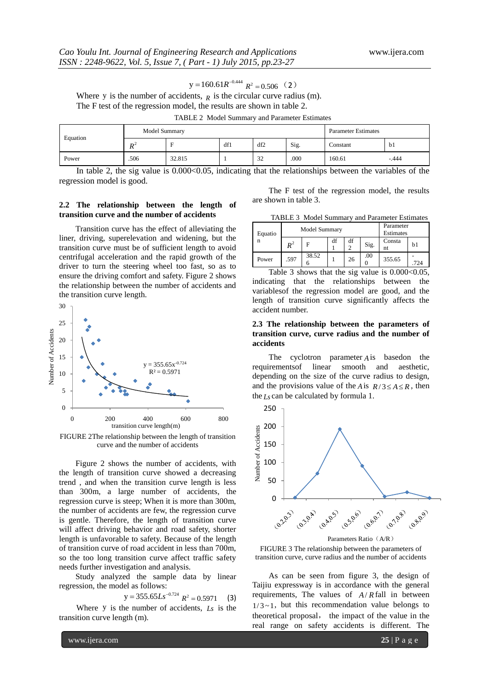$$
y = 160.61R^{-0.444}
$$
 R<sup>2</sup> = 0.506 (2)

Where y is the number of accidents,  $<sub>R</sub>$  is the circular curve radius (m).</sub> The F test of the regression model, the results are shown in table 2.

|  |  | TABLE 2 Model Summary and Parameter Estimates |  |
|--|--|-----------------------------------------------|--|
|--|--|-----------------------------------------------|--|

| Equation | Model Summary |        |     |     |      | <b>Parameter Estimates</b> |         |
|----------|---------------|--------|-----|-----|------|----------------------------|---------|
|          | $R^2$         |        | df1 | df2 | Sig. | Constant                   | bl      |
| Power    | .506          | 32.815 |     | 32  | .000 | 160.61                     | $-.444$ |

In table 2, the sig value is  $0.000<0.05$ , indicating that the relationships between the variables of the regression model is good.

#### **2.2 The relationship between the length of transition curve and the number of accidents**

Transition curve has the effect of alleviating the liner, driving, superelevation and widening, but the transition curve must be of sufficient length to avoid centrifugal acceleration and the rapid growth of the driver to turn the steering wheel too fast, so as to ensure the driving comfort and safety. Figure 2 shows the relationship between the number of accidents and the transition curve length.



FIGURE 2The relationship between the length of transition curve and the number of accidents

Figure 2 shows the number of accidents, with the length of transition curve showed a decreasing trend , and when the transition curve length is less than 300m, a large number of accidents, the regression curve is steep; When it is more than 300m, the number of accidents are few, the regression curve is gentle. Therefore, the length of transition curve will affect driving behavior and road safety, shorter length is unfavorable to safety. Because of the length of transition curve of road accident in less than 700m, so the too long transition curve affect traffic safety needs further investigation and analysis.

Study analyzed the sample data by linear regression, the model as follows:

$$
y = 355.65Ls^{-0.724} R^2 = 0.5971
$$
 (3)

Where y is the number of accidents,  $L_s$  is the transition curve length (m).

The F test of the regression model, the results are shown in table 3.

| TABLE 3 Model Summary and Parameter Estimates |  |  |  |
|-----------------------------------------------|--|--|--|
|-----------------------------------------------|--|--|--|

| Equatio | Model Summary  |       |    |         |      | Parameter<br>Estimates |     |
|---------|----------------|-------|----|---------|------|------------------------|-----|
| n       | $\mathbf{p}^2$ |       | df | df<br>◠ | Sig. | Consta<br>nt           | b1  |
| Power   | .597           | 38.52 |    | 26      | .00  | 355.65                 | 724 |

Table 3 shows that the sig value is  $0.000<0.05$ , indicating that the relationships between the variablesof the regression model are good, and the length of transition curve significantly affects the accident number.

#### **2.3 The relationship between the parameters of transition curve, curve radius and the number of accidents**

The cyclotron parameter  $A$  is basedon the requirementsof linear smooth and aesthetic, depending on the size of the curve radius to design, and the provisions value of the *A* is  $R/3 \le A \le R$ , then the *Ls* can be calculated by formula 1.



Parameters Ratio (A/R)

FIGURE 3 The relationship between the parameters of transition curve, curve radius and the number of accidents

As can be seen from figure 3, the design of Taijiu expressway is in accordance with the general requirements, The values of  $A/R$  fall in between  $1/3 \sim 1$ , but this recommendation value belongs to theoretical proposal, the impact of the value in the real range on safety accidents is different. The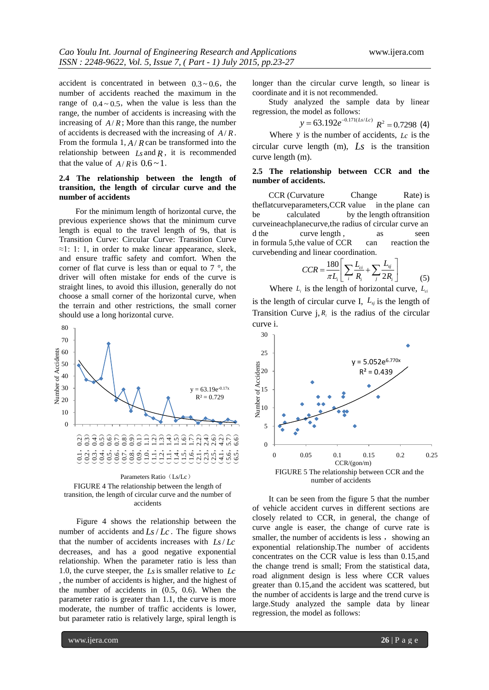accident is concentrated in between  $0.3 \sim 0.6$ , the number of accidents reached the maximum in the range of  $0.4 \sim 0.5$ , when the value is less than the range, the number of accidents is increasing with the increasing of  $A/R$ ; More than this range, the number of accidents is decreased with the increasing of  $A/R$ . From the formula  $1, A/R$  can be transformed into the relationship between  $Ls$  and  $R$ , it is recommended that the value of  $A/R$  is  $0.6 \sim 1$ .

## **2.4 The relationship between the length of transition, the length of circular curve and the number of accidents**

For the minimum length of horizontal curve, the previous experience shows that the minimum curve length is equal to the travel length of 9s, that is Transition Curve: Circular Curve: Transition Curve  $\approx$ 1: 1: 1, in order to make linear appearance, sleek, and ensure traffic safety and comfort. When the corner of flat curve is less than or equal to  $7^\circ$ , the driver will often mistake for ends of the curve is straight lines, to avoid this illusion, generally do not choose a small corner of the horizontal curve, when the terrain and other restrictions, the small corner should use a long horizontal curve.



FIGURE 4 The relationship between the length of transition, the length of circular curve and the number of accidents

Figure 4 shows the relationship between the number of accidents and  $Ls/Lc$ . The figure shows that the number of accidents increases with  $Ls/Lc$ decreases, and has a good negative exponential relationship. When the parameter ratio is less than 1.0, the curve steeper, the *Ls* is smaller relative to *Lc* , the number of accidents is higher, and the highest of the number of accidents in (0.5, 0.6). When the parameter ratio is greater than 1.1, the curve is more moderate, the number of traffic accidents is lower, but parameter ratio is relatively large, spiral length is

longer than the circular curve length, so linear is coordinate and it is not recommended.

Study analyzed the sample data by linear regression, the model as follows:

$$
y = 63.192e^{-0.171(Ls/Lc)}
$$
  $R^2 = 0.7298$  (4)

Where y is the number of accidents,  $L_c$  is the circular curve length (m), *Ls* is the transition curve length (m).

### **2.5 The relationship between CCR and the number of accidents.**

CCR (Curvature Change Rate) is theflatcurveparameters,CCR value in the plane can be calculated by the length of transition curveineachplanecurve,the radius of circular curve an d the curve length, as seen in formula 5,the value of CCR can reaction the curvebending and linear coordination.<br> $C_{CD} = 180 \left[ \sum L_{ci} + \sum L_{sj} \right]$ 

$$
CCR = \frac{180}{\pi L_i} \left[ \sum_i \frac{L_{ci}}{R_i} + \sum_j \frac{L_{sj}}{2R_i} \right]
$$
(5)

Where  $L_i$  is the length of horizontal curve,  $L_{ci}$ 

is the length of circular curve I,  $L_s$  is the length of Transition Curve  $j, R<sub>i</sub>$  is the radius of the circular curve i.



number of accidents

It can be seen from the figure 5 that the number of vehicle accident curves in different sections are closely related to CCR, in general, the change of curve angle is easer, the change of curve rate is smaller, the number of accidents is less, showing an exponential relationship.The number of accidents concentrates on the CCR value is less than 0.15,and the change trend is small; From the statistical data, road alignment design is less where CCR values greater than 0.15,and the accident was scattered, but the number of accidents is large and the trend curve is large.Study analyzed the sample data by linear regression, the model as follows: